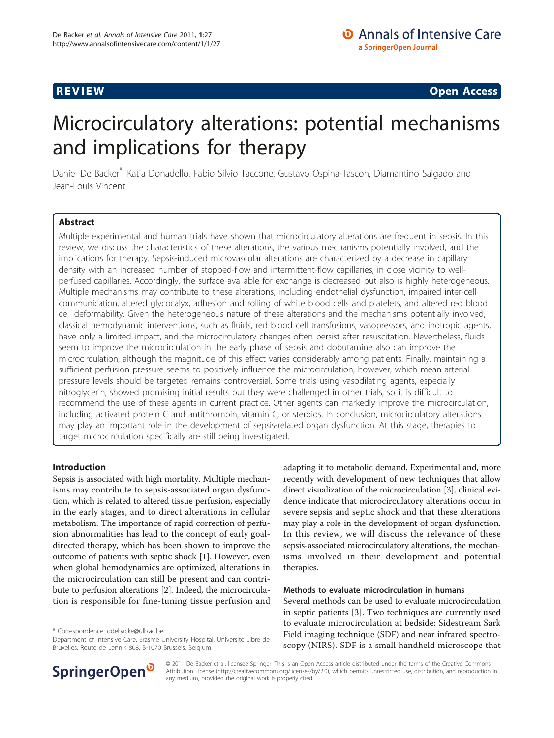**REVIEW CONSTRUCTION CONSTRUCTION CONSTRUCTS** 

# Microcirculatory alterations: potential mechanisms and implications for therapy

Daniel De Backer\* , Katia Donadello, Fabio Silvio Taccone, Gustavo Ospina-Tascon, Diamantino Salgado and Jean-Louis Vincent

# Abstract

Multiple experimental and human trials have shown that microcirculatory alterations are frequent in sepsis. In this review, we discuss the characteristics of these alterations, the various mechanisms potentially involved, and the implications for therapy. Sepsis-induced microvascular alterations are characterized by a decrease in capillary density with an increased number of stopped-flow and intermittent-flow capillaries, in close vicinity to wellperfused capillaries. Accordingly, the surface available for exchange is decreased but also is highly heterogeneous. Multiple mechanisms may contribute to these alterations, including endothelial dysfunction, impaired inter-cell communication, altered glycocalyx, adhesion and rolling of white blood cells and platelets, and altered red blood cell deformability. Given the heterogeneous nature of these alterations and the mechanisms potentially involved, classical hemodynamic interventions, such as fluids, red blood cell transfusions, vasopressors, and inotropic agents, have only a limited impact, and the microcirculatory changes often persist after resuscitation. Nevertheless, fluids seem to improve the microcirculation in the early phase of sepsis and dobutamine also can improve the microcirculation, although the magnitude of this effect varies considerably among patients. Finally, maintaining a sufficient perfusion pressure seems to positively influence the microcirculation; however, which mean arterial pressure levels should be targeted remains controversial. Some trials using vasodilating agents, especially nitroglycerin, showed promising initial results but they were challenged in other trials, so it is difficult to recommend the use of these agents in current practice. Other agents can markedly improve the microcirculation, including activated protein C and antithrombin, vitamin C, or steroids. In conclusion, microcirculatory alterations may play an important role in the development of sepsis-related organ dysfunction. At this stage, therapies to target microcirculation specifically are still being investigated.

## Introduction

Sepsis is associated with high mortality. Multiple mechanisms may contribute to sepsis-associated organ dysfunction, which is related to altered tissue perfusion, especially in the early stages, and to direct alterations in cellular metabolism. The importance of rapid correction of perfusion abnormalities has lead to the concept of early goaldirected therapy, which has been shown to improve the outcome of patients with septic shock [\[1](#page-5-0)]. However, even when global hemodynamics are optimized, alterations in the microcirculation can still be present and can contribute to perfusion alterations [\[2](#page-5-0)]. Indeed, the microcirculation is responsible for fine-tuning tissue perfusion and

\* Correspondence: [ddebacke@ulb.ac.be](mailto:ddebacke@ulb.ac.be)

Department of Intensive Care, Erasme University Hospital, Université Libre de Bruxelles, Route de Lennik 808, B-1070 Brussels, Belgium

adapting it to metabolic demand. Experimental and, more recently with development of new techniques that allow direct visualization of the microcirculation [\[3](#page-6-0)], clinical evidence indicate that microcirculatory alterations occur in severe sepsis and septic shock and that these alterations may play a role in the development of organ dysfunction. In this review, we will discuss the relevance of these sepsis-associated microcirculatory alterations, the mechanisms involved in their development and potential therapies.

# Methods to evaluate microcirculation in humans

Several methods can be used to evaluate microcirculation in septic patients [\[3](#page-6-0)]. Two techniques are currently used to evaluate microcirculation at bedside: Sidestream Sark Field imaging technique (SDF) and near infrared spectroscopy (NIRS). SDF is a small handheld microscope that



© 2011 De Backer et al; licensee Springer. This is an Open Access article distributed under the terms of the Creative Commons Attribution License [\(http://creativecommons.org/licenses/by/2.0](http://creativecommons.org/licenses/by/2.0)), which permits unrestricted use, distribution, and reproduction in any medium, provided the original work is properly cited.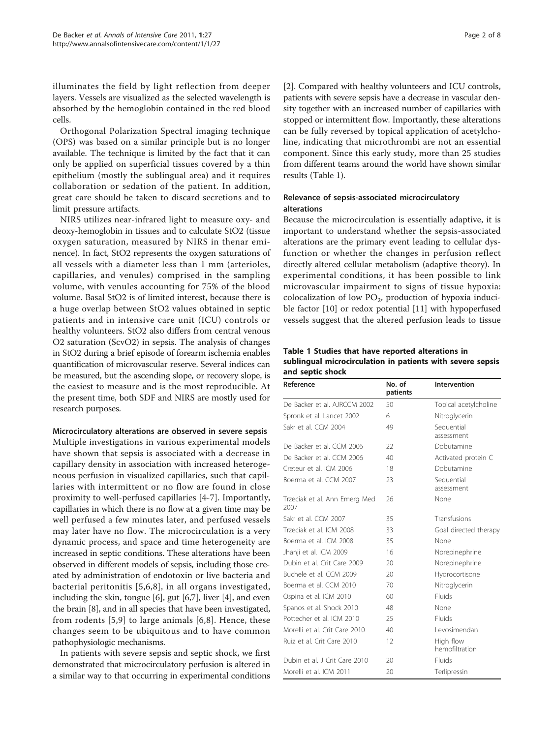illuminates the field by light reflection from deeper layers. Vessels are visualized as the selected wavelength is absorbed by the hemoglobin contained in the red blood cells.

Orthogonal Polarization Spectral imaging technique (OPS) was based on a similar principle but is no longer available. The technique is limited by the fact that it can only be applied on superficial tissues covered by a thin epithelium (mostly the sublingual area) and it requires collaboration or sedation of the patient. In addition, great care should be taken to discard secretions and to limit pressure artifacts.

NIRS utilizes near-infrared light to measure oxy- and deoxy-hemoglobin in tissues and to calculate StO2 (tissue oxygen saturation, measured by NIRS in thenar eminence). In fact, StO2 represents the oxygen saturations of all vessels with a diameter less than 1 mm (arterioles, capillaries, and venules) comprised in the sampling volume, with venules accounting for 75% of the blood volume. Basal StO2 is of limited interest, because there is a huge overlap between StO2 values obtained in septic patients and in intensive care unit (ICU) controls or healthy volunteers. StO2 also differs from central venous O2 saturation (ScvO2) in sepsis. The analysis of changes in StO2 during a brief episode of forearm ischemia enables quantification of microvascular reserve. Several indices can be measured, but the ascending slope, or recovery slope, is the easiest to measure and is the most reproducible. At the present time, both SDF and NIRS are mostly used for research purposes.

## Microcirculatory alterations are observed in severe sepsis

Multiple investigations in various experimental models have shown that sepsis is associated with a decrease in capillary density in association with increased heterogeneous perfusion in visualized capillaries, such that capillaries with intermittent or no flow are found in close proximity to well-perfused capillaries [\[4](#page-6-0)-[7\]](#page-6-0). Importantly, capillaries in which there is no flow at a given time may be well perfused a few minutes later, and perfused vessels may later have no flow. The microcirculation is a very dynamic process, and space and time heterogeneity are increased in septic conditions. These alterations have been observed in different models of sepsis, including those created by administration of endotoxin or live bacteria and bacterial peritonitis [[5](#page-6-0),[6,8\]](#page-6-0), in all organs investigated, including the skin, tongue [\[6](#page-6-0)], gut [[6,7\]](#page-6-0), liver [[4\]](#page-6-0), and even the brain [\[8](#page-6-0)], and in all species that have been investigated, from rodents [[5,9](#page-6-0)] to large animals [[6](#page-6-0),[8\]](#page-6-0). Hence, these changes seem to be ubiquitous and to have common pathophysiologic mechanisms.

In patients with severe sepsis and septic shock, we first demonstrated that microcirculatory perfusion is altered in a similar way to that occurring in experimental conditions

[[2\]](#page-5-0). Compared with healthy volunteers and ICU controls, patients with severe sepsis have a decrease in vascular density together with an increased number of capillaries with stopped or intermittent flow. Importantly, these alterations can be fully reversed by topical application of acetylcholine, indicating that microthrombi are not an essential component. Since this early study, more than 25 studies from different teams around the world have shown similar results (Table 1).

# Relevance of sepsis-associated microcirculatory alterations

Because the microcirculation is essentially adaptive, it is important to understand whether the sepsis-associated alterations are the primary event leading to cellular dysfunction or whether the changes in perfusion reflect directly altered cellular metabolism (adaptive theory). In experimental conditions, it has been possible to link microvascular impairment to signs of tissue hypoxia: colocalization of low  $PO<sub>2</sub>$ , production of hypoxia inducible factor [[10\]](#page-6-0) or redox potential [[11](#page-6-0)] with hypoperfused vessels suggest that the altered perfusion leads to tissue

Table 1 Studies that have reported alterations in sublingual microcirculation in patients with severe sepsis and septic shock

| Reference                             | No. of<br>patients | Intervention                |
|---------------------------------------|--------------------|-----------------------------|
| De Backer et al. AJRCCM 2002          | 50                 | Topical acetylcholine       |
| Spronk et al. Lancet 2002             | 6                  | Nitroglycerin               |
| Sakr et al. CCM 2004                  | 49                 | Sequential<br>assessment    |
| De Backer et al. CCM 2006             | 22                 | Dobutamine                  |
| De Backer et al. CCM 2006             | 40                 | Activated protein C         |
| Creteur et al. ICM 2006               | 18                 | Dobutamine                  |
| Boerma et al. CCM 2007                | 23                 | Sequential<br>assessment    |
| Trzeciak et al. Ann Emerg Med<br>2007 | 26                 | None                        |
| Sakr et al. CCM 2007                  | 35                 | Transfusions                |
| Trzeciak et al. ICM 2008              | 33                 | Goal directed therapy       |
| Boerma et al. ICM 2008                | 35                 | None                        |
| Jhanji et al. ICM 2009                | 16                 | Norepinephrine              |
| Dubin et al. Crit Care 2009           | 20                 | Norepinephrine              |
| Buchele et al. CCM 2009               | 20                 | Hydrocortisone              |
| Boerma et al. CCM 2010                | 70                 | Nitroglycerin               |
| Ospina et al. ICM 2010                | 60                 | Fluids                      |
| Spanos et al. Shock 2010              | 48                 | None                        |
| Pottecher et al. ICM 2010             | 25                 | Fluids                      |
| Morelli et al. Crit Care 2010         | 40                 | Levosimendan                |
| Ruiz et al. Crit Care 2010            | 12                 | High flow<br>hemofiltration |
| Dubin et al. J Crit Care 2010         | 20                 | <b>Fluids</b>               |
| Morelli et al. ICM 2011               | 20                 | Terlipressin                |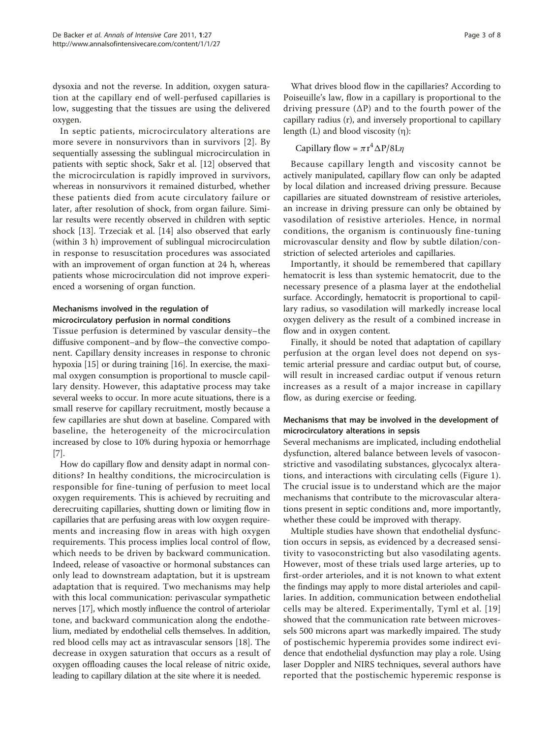dysoxia and not the reverse. In addition, oxygen saturation at the capillary end of well-perfused capillaries is low, suggesting that the tissues are using the delivered oxygen.

In septic patients, microcirculatory alterations are more severe in nonsurvivors than in survivors [[2\]](#page-5-0). By sequentially assessing the sublingual microcirculation in patients with septic shock, Sakr et al. [\[12](#page-6-0)] observed that the microcirculation is rapidly improved in survivors, whereas in nonsurvivors it remained disturbed, whether these patients died from acute circulatory failure or later, after resolution of shock, from organ failure. Similar results were recently observed in children with septic shock [[13\]](#page-6-0). Trzeciak et al. [[14\]](#page-6-0) also observed that early (within 3 h) improvement of sublingual microcirculation in response to resuscitation procedures was associated with an improvement of organ function at 24 h, whereas patients whose microcirculation did not improve experienced a worsening of organ function.

# Mechanisms involved in the regulation of microcirculatory perfusion in normal conditions

Tissue perfusion is determined by vascular density–the diffusive component–and by flow–the convective component. Capillary density increases in response to chronic hypoxia [[15](#page-6-0)] or during training [[16](#page-6-0)]. In exercise, the maximal oxygen consumption is proportional to muscle capillary density. However, this adaptative process may take several weeks to occur. In more acute situations, there is a small reserve for capillary recruitment, mostly because a few capillaries are shut down at baseline. Compared with baseline, the heterogeneity of the microcirculation increased by close to 10% during hypoxia or hemorrhage [[7\]](#page-6-0).

How do capillary flow and density adapt in normal conditions? In healthy conditions, the microcirculation is responsible for fine-tuning of perfusion to meet local oxygen requirements. This is achieved by recruiting and derecruiting capillaries, shutting down or limiting flow in capillaries that are perfusing areas with low oxygen requirements and increasing flow in areas with high oxygen requirements. This process implies local control of flow, which needs to be driven by backward communication. Indeed, release of vasoactive or hormonal substances can only lead to downstream adaptation, but it is upstream adaptation that is required. Two mechanisms may help with this local communication: perivascular sympathetic nerves [[17](#page-6-0)], which mostly influence the control of arteriolar tone, and backward communication along the endothelium, mediated by endothelial cells themselves. In addition, red blood cells may act as intravascular sensors [\[18](#page-6-0)]. The decrease in oxygen saturation that occurs as a result of oxygen offloading causes the local release of nitric oxide, leading to capillary dilation at the site where it is needed.

What drives blood flow in the capillaries? According to Poiseuille's law, flow in a capillary is proportional to the driving pressure (ΔP) and to the fourth power of the capillary radius (r), and inversely proportional to capillary length  $(L)$  and blood viscosity  $(\eta)$ :

Capillary flow =  $\pi r^4 \Delta P/8L\eta$ 

Because capillary length and viscosity cannot be actively manipulated, capillary flow can only be adapted by local dilation and increased driving pressure. Because capillaries are situated downstream of resistive arterioles, an increase in driving pressure can only be obtained by vasodilation of resistive arterioles. Hence, in normal conditions, the organism is continuously fine-tuning microvascular density and flow by subtle dilation/constriction of selected arterioles and capillaries.

Importantly, it should be remembered that capillary hematocrit is less than systemic hematocrit, due to the necessary presence of a plasma layer at the endothelial surface. Accordingly, hematocrit is proportional to capillary radius, so vasodilation will markedly increase local oxygen delivery as the result of a combined increase in flow and in oxygen content.

Finally, it should be noted that adaptation of capillary perfusion at the organ level does not depend on systemic arterial pressure and cardiac output but, of course, will result in increased cardiac output if venous return increases as a result of a major increase in capillary flow, as during exercise or feeding.

# Mechanisms that may be involved in the development of microcirculatory alterations in sepsis

Several mechanisms are implicated, including endothelial dysfunction, altered balance between levels of vasoconstrictive and vasodilating substances, glycocalyx alterations, and interactions with circulating cells (Figure [1](#page-3-0)). The crucial issue is to understand which are the major mechanisms that contribute to the microvascular alterations present in septic conditions and, more importantly, whether these could be improved with therapy.

Multiple studies have shown that endothelial dysfunction occurs in sepsis, as evidenced by a decreased sensitivity to vasoconstricting but also vasodilating agents. However, most of these trials used large arteries, up to first-order arterioles, and it is not known to what extent the findings may apply to more distal arterioles and capillaries. In addition, communication between endothelial cells may be altered. Experimentally, Tyml et al. [[19](#page-6-0)] showed that the communication rate between microvessels 500 microns apart was markedly impaired. The study of postischemic hyperemia provides some indirect evidence that endothelial dysfunction may play a role. Using laser Doppler and NIRS techniques, several authors have reported that the postischemic hyperemic response is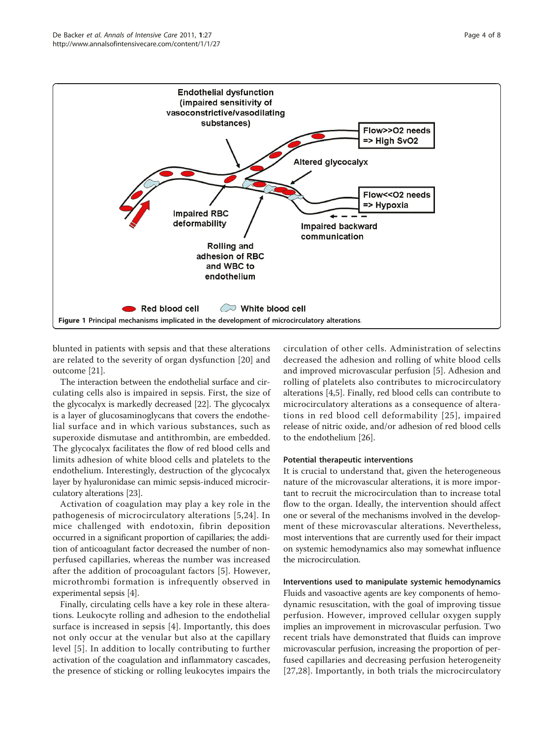<span id="page-3-0"></span>

blunted in patients with sepsis and that these alterations are related to the severity of organ dysfunction [[20](#page-6-0)] and outcome [\[21\]](#page-6-0).

The interaction between the endothelial surface and circulating cells also is impaired in sepsis. First, the size of the glycocalyx is markedly decreased [\[22\]](#page-6-0). The glycocalyx is a layer of glucosaminoglycans that covers the endothelial surface and in which various substances, such as superoxide dismutase and antithrombin, are embedded. The glycocalyx facilitates the flow of red blood cells and limits adhesion of white blood cells and platelets to the endothelium. Interestingly, destruction of the glycocalyx layer by hyaluronidase can mimic sepsis-induced microcirculatory alterations [[23](#page-6-0)].

Activation of coagulation may play a key role in the pathogenesis of microcirculatory alterations [[5,24\]](#page-6-0). In mice challenged with endotoxin, fibrin deposition occurred in a significant proportion of capillaries; the addition of anticoagulant factor decreased the number of nonperfused capillaries, whereas the number was increased after the addition of procoagulant factors [\[5](#page-6-0)]. However, microthrombi formation is infrequently observed in experimental sepsis [[4\]](#page-6-0).

Finally, circulating cells have a key role in these alterations. Leukocyte rolling and adhesion to the endothelial surface is increased in sepsis [[4\]](#page-6-0). Importantly, this does not only occur at the venular but also at the capillary level [[5](#page-6-0)]. In addition to locally contributing to further activation of the coagulation and inflammatory cascades, the presence of sticking or rolling leukocytes impairs the circulation of other cells. Administration of selectins decreased the adhesion and rolling of white blood cells and improved microvascular perfusion [[5\]](#page-6-0). Adhesion and rolling of platelets also contributes to microcirculatory alterations [\[4](#page-6-0),[5](#page-6-0)]. Finally, red blood cells can contribute to microcirculatory alterations as a consequence of alterations in red blood cell deformability [[25](#page-6-0)], impaired release of nitric oxide, and/or adhesion of red blood cells to the endothelium [\[26](#page-6-0)].

## Potential therapeutic interventions

It is crucial to understand that, given the heterogeneous nature of the microvascular alterations, it is more important to recruit the microcirculation than to increase total flow to the organ. Ideally, the intervention should affect one or several of the mechanisms involved in the development of these microvascular alterations. Nevertheless, most interventions that are currently used for their impact on systemic hemodynamics also may somewhat influence the microcirculation.

Interventions used to manipulate systemic hemodynamics Fluids and vasoactive agents are key components of hemodynamic resuscitation, with the goal of improving tissue perfusion. However, improved cellular oxygen supply implies an improvement in microvascular perfusion. Two recent trials have demonstrated that fluids can improve microvascular perfusion, increasing the proportion of perfused capillaries and decreasing perfusion heterogeneity [[27,28\]](#page-6-0). Importantly, in both trials the microcirculatory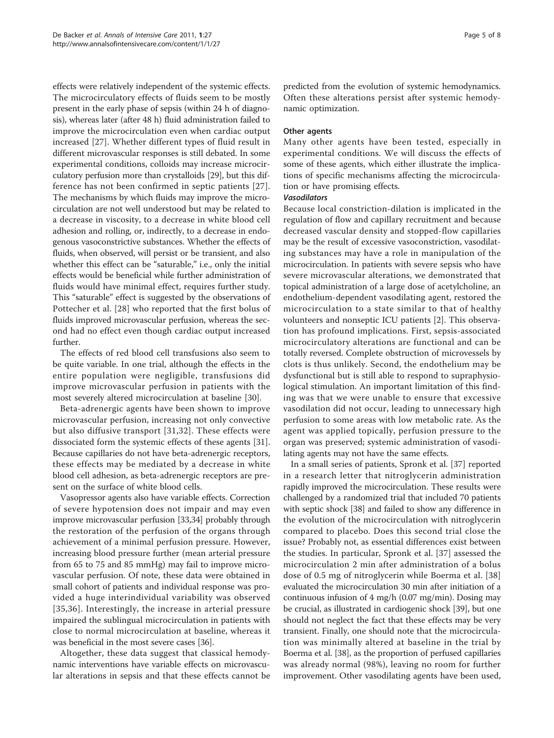effects were relatively independent of the systemic effects. The microcirculatory effects of fluids seem to be mostly present in the early phase of sepsis (within 24 h of diagnosis), whereas later (after 48 h) fluid administration failed to improve the microcirculation even when cardiac output increased [[27\]](#page-6-0). Whether different types of fluid result in different microvascular responses is still debated. In some experimental conditions, colloids may increase microcirculatory perfusion more than crystalloids [\[29\]](#page-6-0), but this difference has not been confirmed in septic patients [[27\]](#page-6-0). The mechanisms by which fluids may improve the microcirculation are not well understood but may be related to a decrease in viscosity, to a decrease in white blood cell adhesion and rolling, or, indirectly, to a decrease in endogenous vasoconstrictive substances. Whether the effects of fluids, when observed, will persist or be transient, and also whether this effect can be "saturable," i.e., only the initial effects would be beneficial while further administration of fluids would have minimal effect, requires further study. This "saturable" effect is suggested by the observations of Pottecher et al. [\[28](#page-6-0)] who reported that the first bolus of fluids improved microvascular perfusion, whereas the second had no effect even though cardiac output increased further.

The effects of red blood cell transfusions also seem to be quite variable. In one trial, although the effects in the entire population were negligible, transfusions did improve microvascular perfusion in patients with the most severely altered microcirculation at baseline [\[30\]](#page-6-0).

Beta-adrenergic agents have been shown to improve microvascular perfusion, increasing not only convective but also diffusive transport [\[31,32](#page-6-0)]. These effects were dissociated form the systemic effects of these agents [\[31](#page-6-0)]. Because capillaries do not have beta-adrenergic receptors, these effects may be mediated by a decrease in white blood cell adhesion, as beta-adrenergic receptors are present on the surface of white blood cells.

Vasopressor agents also have variable effects. Correction of severe hypotension does not impair and may even improve microvascular perfusion [\[33,34](#page-6-0)] probably through the restoration of the perfusion of the organs through achievement of a minimal perfusion pressure. However, increasing blood pressure further (mean arterial pressure from 65 to 75 and 85 mmHg) may fail to improve microvascular perfusion. Of note, these data were obtained in small cohort of patients and individual response was provided a huge interindividual variability was observed [[35,36](#page-6-0)]. Interestingly, the increase in arterial pressure impaired the sublingual microcirculation in patients with close to normal microcirculation at baseline, whereas it was beneficial in the most severe cases [[36](#page-6-0)].

Altogether, these data suggest that classical hemodynamic interventions have variable effects on microvascular alterations in sepsis and that these effects cannot be

predicted from the evolution of systemic hemodynamics. Often these alterations persist after systemic hemodynamic optimization.

#### Other agents

Many other agents have been tested, especially in experimental conditions. We will discuss the effects of some of these agents, which either illustrate the implications of specific mechanisms affecting the microcirculation or have promising effects.

# Vasodilators

Because local constriction-dilation is implicated in the regulation of flow and capillary recruitment and because decreased vascular density and stopped-flow capillaries may be the result of excessive vasoconstriction, vasodilating substances may have a role in manipulation of the microcirculation. In patients with severe sepsis who have severe microvascular alterations, we demonstrated that topical administration of a large dose of acetylcholine, an endothelium-dependent vasodilating agent, restored the microcirculation to a state similar to that of healthy volunteers and nonseptic ICU patients [\[2](#page-5-0)]. This observation has profound implications. First, sepsis-associated microcirculatory alterations are functional and can be totally reversed. Complete obstruction of microvessels by clots is thus unlikely. Second, the endothelium may be dysfunctional but is still able to respond to supraphysiological stimulation. An important limitation of this finding was that we were unable to ensure that excessive vasodilation did not occur, leading to unnecessary high perfusion to some areas with low metabolic rate. As the agent was applied topically, perfusion pressure to the organ was preserved; systemic administration of vasodilating agents may not have the same effects.

In a small series of patients, Spronk et al. [[37\]](#page-6-0) reported in a research letter that nitroglycerin administration rapidly improved the microcirculation. These results were challenged by a randomized trial that included 70 patients with septic shock [[38\]](#page-6-0) and failed to show any difference in the evolution of the microcirculation with nitroglycerin compared to placebo. Does this second trial close the issue? Probably not, as essential differences exist between the studies. In particular, Spronk et al. [[37\]](#page-6-0) assessed the microcirculation 2 min after administration of a bolus dose of 0.5 mg of nitroglycerin while Boerma et al. [\[38](#page-6-0)] evaluated the microcirculation 30 min after initiation of a continuous infusion of 4 mg/h (0.07 mg/min). Dosing may be crucial, as illustrated in cardiogenic shock [\[39\]](#page-6-0), but one should not neglect the fact that these effects may be very transient. Finally, one should note that the microcirculation was minimally altered at baseline in the trial by Boerma et al. [\[38\]](#page-6-0), as the proportion of perfused capillaries was already normal (98%), leaving no room for further improvement. Other vasodilating agents have been used,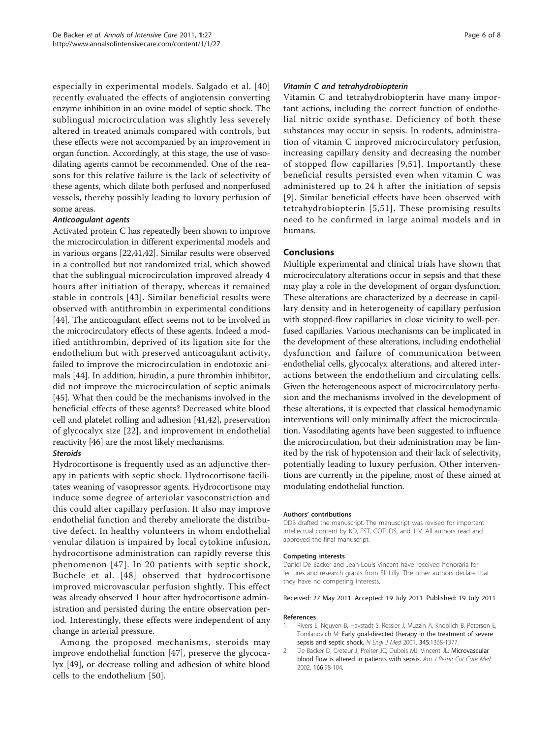<span id="page-5-0"></span>especially in experimental models. Salgado et al. [[40](#page-6-0)] recently evaluated the effects of angiotensin converting enzyme inhibition in an ovine model of septic shock. The sublingual microcirculation was slightly less severely altered in treated animals compared with controls, but these effects were not accompanied by an improvement in organ function. Accordingly, at this stage, the use of vasodilating agents cannot be recommended. One of the reasons for this relative failure is the lack of selectivity of these agents, which dilate both perfused and nonperfused vessels, thereby possibly leading to luxury perfusion of some areas.

## Anticoagulant agents

Activated protein C has repeatedly been shown to improve the microcirculation in different experimental models and in various organs [[22,41,42\]](#page-6-0). Similar results were observed in a controlled but not randomized trial, which showed that the sublingual microcirculation improved already 4 hours after initiation of therapy, whereas it remained stable in controls [\[43\]](#page-6-0). Similar beneficial results were observed with antithrombin in experimental conditions [[44\]](#page-7-0). The anticoagulant effect seems not to be involved in the microcirculatory effects of these agents. Indeed a modified antithrombin, deprived of its ligation site for the endothelium but with preserved anticoagulant activity, failed to improve the microcirculation in endotoxic animals [\[44](#page-7-0)]. In addition, hirudin, a pure thrombin inhibitor, did not improve the microcirculation of septic animals [[45\]](#page-7-0). What then could be the mechanisms involved in the beneficial effects of these agents? Decreased white blood cell and platelet rolling and adhesion [\[41,42\]](#page-6-0), preservation of glycocalyx size [[22](#page-6-0)], and improvement in endothelial reactivity [[46](#page-7-0)] are the most likely mechanisms.

## **Steroids**

Hydrocortisone is frequently used as an adjunctive therapy in patients with septic shock. Hydrocortisone facilitates weaning of vasopressor agents. Hydrocortisone may induce some degree of arteriolar vasoconstriction and this could alter capillary perfusion. It also may improve endothelial function and thereby ameliorate the distributive defect. In healthy volunteers in whom endothelial venular dilation is impaired by local cytokine infusion, hydrocortisone administration can rapidly reverse this phenomenon [[47](#page-7-0)]. In 20 patients with septic shock, Buchele et al. [[48\]](#page-7-0) observed that hydrocortisone improved microvascular perfusion slightly. This effect was already observed 1 hour after hydrocortisone administration and persisted during the entire observation period. Interestingly, these effects were independent of any change in arterial pressure.

Among the proposed mechanisms, steroids may improve endothelial function [[47\]](#page-7-0), preserve the glycocalyx [[49\]](#page-7-0), or decrease rolling and adhesion of white blood cells to the endothelium [[50\]](#page-7-0).

#### Vitamin C and tetrahydrobiopterin

Vitamin C and tetrahydrobiopterin have many important actions, including the correct function of endothelial nitric oxide synthase. Deficiency of both these substances may occur in sepsis. In rodents, administration of vitamin C improved microcirculatory perfusion, increasing capillary density and decreasing the number of stopped flow capillaries [[9](#page-6-0),[51](#page-7-0)]. Importantly these beneficial results persisted even when vitamin C was administered up to 24 h after the initiation of sepsis [[9](#page-6-0)]. Similar beneficial effects have been observed with tetrahydrobiopterin [[5,](#page-6-0)[51](#page-7-0)]. These promising results need to be confirmed in large animal models and in humans.

#### Conclusions

Multiple experimental and clinical trials have shown that microcirculatory alterations occur in sepsis and that these may play a role in the development of organ dysfunction. These alterations are characterized by a decrease in capillary density and in heterogeneity of capillary perfusion with stopped-flow capillaries in close vicinity to well-perfused capillaries. Various mechanisms can be implicated in the development of these alterations, including endothelial dysfunction and failure of communication between endothelial cells, glycocalyx alterations, and altered interactions between the endothelium and circulating cells. Given the heterogeneous aspect of microcirculatory perfusion and the mechanisms involved in the development of these alterations, it is expected that classical hemodynamic interventions will only minimally affect the microcirculation. Vasodilating agents have been suggested to influence the microcirculation, but their administration may be limited by the risk of hypotension and their lack of selectivity, potentially leading to luxury perfusion. Other interventions are currently in the pipeline, most of these aimed at modulating endothelial function.

#### Authors' contributions

DDB drafted the manuscript. The manuscript was revised for important intellectual content by KD, FST, GOT, DS, and JLV. All authors read and approved the final manuscript.

#### Competing interests

Daniel De Backer and Jean-Louis Vincent have received honoraria for lectures and research grants from Eli Lilly. The other authors declare that they have no competing interests.

#### Received: 27 May 2011 Accepted: 19 July 2011 Published: 19 July 2011

#### References

- 1. Rivers E, Nguyen B, Havstadt S, Ressler J, Muzzin A, Knoblich B, Peterson E, Tomlanovich M: [Early goal-directed therapy in the treatment of severe](http://www.ncbi.nlm.nih.gov/pubmed/11794169?dopt=Abstract) [sepsis and septic shock.](http://www.ncbi.nlm.nih.gov/pubmed/11794169?dopt=Abstract) N Engl J Med 2001, 345:1368-1377.
- 2. De Backer D, Creteur J, Preiser JC, Dubois MJ, Vincent JL: [Microvascular](http://www.ncbi.nlm.nih.gov/pubmed/12091178?dopt=Abstract) [blood flow is altered in patients with sepsis.](http://www.ncbi.nlm.nih.gov/pubmed/12091178?dopt=Abstract) Am J Respir Crit Care Med 2002, 166:98-104.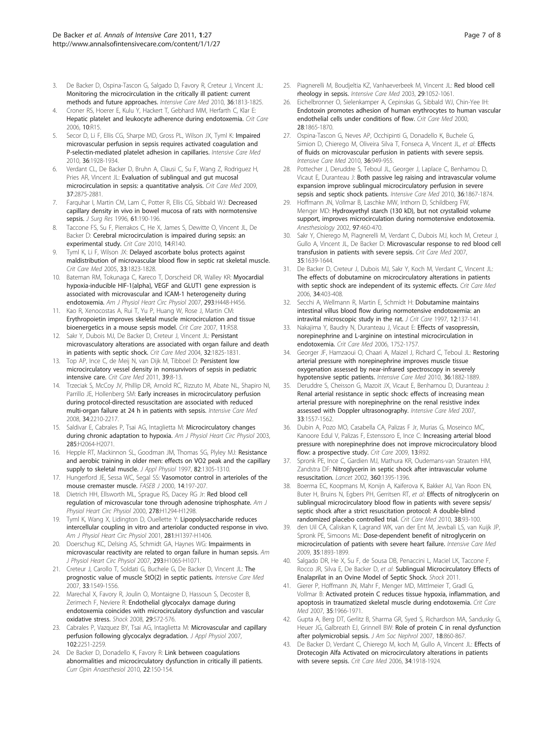- <span id="page-6-0"></span>3. De Backer D, Ospina-Tascon G, Salgado D, Favory R, Creteur J, Vincent JL: [Monitoring the microcirculation in the critically ill patient: current](http://www.ncbi.nlm.nih.gov/pubmed/20689916?dopt=Abstract) [methods and future approaches.](http://www.ncbi.nlm.nih.gov/pubmed/20689916?dopt=Abstract) Intensive Care Med 2010, 36:1813-1825.
- 4. Croner RS, Hoerer E, Kulu Y, Hackert T, Gebhard MM, Herfarth C, Klar E: [Hepatic platelet and leukocyte adherence during endotoxemia.](http://www.ncbi.nlm.nih.gov/pubmed/16420661?dopt=Abstract) Crit Care 2006, 10:R15.
- Secor D, Li F, Ellis CG, Sharpe MD, Gross PL, Wilson JX, Tyml K: [Impaired](http://www.ncbi.nlm.nih.gov/pubmed/20689935?dopt=Abstract) [microvascular perfusion in sepsis requires activated coagulation and](http://www.ncbi.nlm.nih.gov/pubmed/20689935?dopt=Abstract) [P-selectin-mediated platelet adhesion in capillaries.](http://www.ncbi.nlm.nih.gov/pubmed/20689935?dopt=Abstract) Intensive Care Med 2010, 36:1928-1934.
- 6. Verdant CL, De Backer D, Bruhn A, Clausi C, Su F, Wang Z, Rodriguez H, Pries AR, Vincent JL: [Evaluation of sublingual and gut mucosal](http://www.ncbi.nlm.nih.gov/pubmed/19770750?dopt=Abstract) [microcirculation in sepsis: a quantitative analysis.](http://www.ncbi.nlm.nih.gov/pubmed/19770750?dopt=Abstract) Crit Care Med 2009, 37:2875-2881.
- 7. Farquhar I, Martin CM, Lam C, Potter R, Ellis CG, Sibbald WJ: [Decreased](http://www.ncbi.nlm.nih.gov/pubmed/8769965?dopt=Abstract) [capillary density in vivo in bowel mucosa of rats with normotensive](http://www.ncbi.nlm.nih.gov/pubmed/8769965?dopt=Abstract) [sepsis.](http://www.ncbi.nlm.nih.gov/pubmed/8769965?dopt=Abstract) J Surg Res 1996, 61:190-196.
- 8. Taccone FS, Su F, Pierrakos C, He X, James S, Dewitte O, Vincent JL, De Backer D: [Cerebral microcirculation is impaired during sepsis: an](http://www.ncbi.nlm.nih.gov/pubmed/20667108?dopt=Abstract) [experimental study.](http://www.ncbi.nlm.nih.gov/pubmed/20667108?dopt=Abstract) Crit Care 2010, 14:R140.
- 9. Tyml K, Li F, Wilson JX: [Delayed ascorbate bolus protects against](http://www.ncbi.nlm.nih.gov/pubmed/16096461?dopt=Abstract) [maldistribution of microvascular blood flow in septic rat skeletal muscle.](http://www.ncbi.nlm.nih.gov/pubmed/16096461?dopt=Abstract) Crit Care Med 2005, 33:1823-1828.
- 10. Bateman RM, Tokunaga C, Kareco T, Dorscheid DR, Walley KR: [Myocardial](http://www.ncbi.nlm.nih.gov/pubmed/17369472?dopt=Abstract) [hypoxia-inducible HIF-1{alpha}, VEGF and GLUT1 gene expression is](http://www.ncbi.nlm.nih.gov/pubmed/17369472?dopt=Abstract) [associated with microvascular and ICAM-1 heterogeneity during](http://www.ncbi.nlm.nih.gov/pubmed/17369472?dopt=Abstract) [endotoxemia.](http://www.ncbi.nlm.nih.gov/pubmed/17369472?dopt=Abstract) Am J Physiol Heart Circ Physiol 2007, 293:H448-H456.
- 11. Kao R, Xenocostas A, Rui T, Yu P, Huang W, Rose J, Martin CM: [Erythropoietin improves skeletal muscle microcirculation and tissue](http://www.ncbi.nlm.nih.gov/pubmed/17509156?dopt=Abstract) [bioenergetics in a mouse sepsis model.](http://www.ncbi.nlm.nih.gov/pubmed/17509156?dopt=Abstract) Crit Care 2007, 11:R58.
- 12. Sakr Y, Dubois MJ, De Backer D, Creteur J, Vincent JL: [Persistant](http://www.ncbi.nlm.nih.gov/pubmed/15343008?dopt=Abstract) [microvasculatory alterations are associated with organ failure and death](http://www.ncbi.nlm.nih.gov/pubmed/15343008?dopt=Abstract) [in patients with septic shock.](http://www.ncbi.nlm.nih.gov/pubmed/15343008?dopt=Abstract) Crit Care Med 2004, 32:1825-1831.
- 13. Top AP, Ince C, de Meij N, van Dijk M, Tibboel D: [Persistent low](http://www.ncbi.nlm.nih.gov/pubmed/21076287?dopt=Abstract) [microcirculatory vessel density in nonsurvivors of sepsis in pediatric](http://www.ncbi.nlm.nih.gov/pubmed/21076287?dopt=Abstract) [intensive care.](http://www.ncbi.nlm.nih.gov/pubmed/21076287?dopt=Abstract) Crit Care Med 2011, 39:8-13.
- 14. Trzeciak S, McCoy JV, Phillip DR, Arnold RC, Rizzuto M, Abate NL, Shapiro NI, Parrillo JE, Hollenberg SM: [Early increases in microcirculatory perfusion](http://www.ncbi.nlm.nih.gov/pubmed/18594793?dopt=Abstract) [during protocol-directed resuscitation are associated with reduced](http://www.ncbi.nlm.nih.gov/pubmed/18594793?dopt=Abstract) [multi-organ failure at 24 h in patients with sepsis.](http://www.ncbi.nlm.nih.gov/pubmed/18594793?dopt=Abstract) Intensive Care Med 2008, 34:2210-2217.
- 15. Saldivar E, Cabrales P, Tsai AG, Intaglietta M: [Microcirculatory changes](http://www.ncbi.nlm.nih.gov/pubmed/14561680?dopt=Abstract) [during chronic adaptation to hypoxia.](http://www.ncbi.nlm.nih.gov/pubmed/14561680?dopt=Abstract) Am J Physiol Heart Circ Physiol 2003, 285:H2064-H2071.
- 16. Hepple RT, Mackinnon SL, Goodman JM, Thomas SG, Plyley MJ: [Resistance](http://www.ncbi.nlm.nih.gov/pubmed/9104869?dopt=Abstract) [and aerobic training in older men: effects on VO2 peak and the capillary](http://www.ncbi.nlm.nih.gov/pubmed/9104869?dopt=Abstract) [supply to skeletal muscle.](http://www.ncbi.nlm.nih.gov/pubmed/9104869?dopt=Abstract) J Appl Physiol 1997, 82:1305-1310.
- 17. Hungerford JE, Sessa WC, Segal SS: [Vasomotor control in arterioles of the](http://www.ncbi.nlm.nih.gov/pubmed/10627294?dopt=Abstract) [mouse cremaster muscle.](http://www.ncbi.nlm.nih.gov/pubmed/10627294?dopt=Abstract) FASEB J 2000, 14:197-207.
- 18. Dietrich HH, Ellsworth ML, Sprague RS, Dacey RG Jr: [Red blood cell](http://www.ncbi.nlm.nih.gov/pubmed/10749727?dopt=Abstract) [regulation of microvascular tone through adenosine triphosphate.](http://www.ncbi.nlm.nih.gov/pubmed/10749727?dopt=Abstract) Am J Physiol Heart Circ Physiol 2000, 278:H1294-H1298.
- 19. Tyml K, Wang X, Lidington D, Ouellette Y: [Lipopolysaccharide reduces](http://www.ncbi.nlm.nih.gov/pubmed/11514312?dopt=Abstract) [intercellular coupling in vitro and arteriolar conducted response in vivo.](http://www.ncbi.nlm.nih.gov/pubmed/11514312?dopt=Abstract) Am J Physiol Heart Circ Physiol 2001, 281:H1397-H1406
- 20. Doerschug KC, Delsing AS, Schmidt GA, Haynes WG: [Impairments in](http://www.ncbi.nlm.nih.gov/pubmed/17483235?dopt=Abstract) [microvascular reactivity are related to organ failure in human sepsis.](http://www.ncbi.nlm.nih.gov/pubmed/17483235?dopt=Abstract) Am J Physiol Heart Circ Physiol 2007, 293:H1065-H1071.
- 21. Creteur J, Carollo T, Soldati G, Buchele G, De Backer D, Vincent JL: [The](http://www.ncbi.nlm.nih.gov/pubmed/17572876?dopt=Abstract) [prognostic value of muscle StO\(2\) in septic patients.](http://www.ncbi.nlm.nih.gov/pubmed/17572876?dopt=Abstract) Intensive Care Med 2007, 33:1549-1556.
- 22. Marechal X, Favory R, Joulin O, Montaigne D, Hassoun S, Decoster B, Zerimech F, Neviere R: [Endothelial glycocalyx damage during](http://www.ncbi.nlm.nih.gov/pubmed/18414231?dopt=Abstract) [endotoxemia coincides with microcirculatory dysfunction and vascular](http://www.ncbi.nlm.nih.gov/pubmed/18414231?dopt=Abstract) [oxidative stress.](http://www.ncbi.nlm.nih.gov/pubmed/18414231?dopt=Abstract) Shock 2008, 29:572-576.
- 23. Cabrales P, Vazquez BY, Tsai AG, Intaglietta M: [Microvascular and capillary](http://www.ncbi.nlm.nih.gov/pubmed/17347383?dopt=Abstract) [perfusion following glycocalyx degradation.](http://www.ncbi.nlm.nih.gov/pubmed/17347383?dopt=Abstract) J Appl Physiol 2007, 102:2251-2259.
- 24. De Backer D, Donadello K, Favory R: Link between coagulations abnormalities and microcirculatory dysfunction in critically ill patients. Curr Opin Anaesthesiol 2010, 22:150-154.
- 25. Piagnerelli M, Boudieltia KZ, Vanhaeverbeek M, Vincent JL: [Red blood cell](http://www.ncbi.nlm.nih.gov/pubmed/12802488?dopt=Abstract) [rheology in sepsis.](http://www.ncbi.nlm.nih.gov/pubmed/12802488?dopt=Abstract) Intensive Care Med 2003, 29:1052-1061.
- 26. Eichelbronner O, Sielenkamper A, Cepinskas G, Sibbald WJ, Chin-Yee IH: [Endotoxin promotes adhesion of human erythrocytes to human vascular](http://www.ncbi.nlm.nih.gov/pubmed/10890634?dopt=Abstract) [endothelial cells under conditions of flow.](http://www.ncbi.nlm.nih.gov/pubmed/10890634?dopt=Abstract) Crit Care Med 2000, 28:1865-1870.
- 27. Ospina-Tascon G, Neves AP, Occhipinti G, Donadello K, Buchele G, Simion D, Chierego M, Oliveira Silva T, Fonseca A, Vincent JL, et al: [Effects](http://www.ncbi.nlm.nih.gov/pubmed/20221744?dopt=Abstract) [of fluids on microvascular perfusion in patients with severe sepsis.](http://www.ncbi.nlm.nih.gov/pubmed/20221744?dopt=Abstract) Intensive Care Med 2010, 36:949-955.
- 28. Pottecher J, Deruddre S, Teboul JL, Georger J, Laplace C, Benhamou D, Vicaut E, Duranteau J: [Both passive leg raising and intravascular volume](http://www.ncbi.nlm.nih.gov/pubmed/20725823?dopt=Abstract) [expansion improve sublingual microcirculatory perfusion in severe](http://www.ncbi.nlm.nih.gov/pubmed/20725823?dopt=Abstract) [sepsis and septic shock patients.](http://www.ncbi.nlm.nih.gov/pubmed/20725823?dopt=Abstract) Intensive Care Med 2010, 36:1867-1874.
- 29. Hoffmann JN, Vollmar B, Laschke MW, Inthorn D, Schildberg FW, Menger MD: [Hydroxyethyl starch \(130 kD\), but not crystalloid volume](http://www.ncbi.nlm.nih.gov/pubmed/12151938?dopt=Abstract) [support, improves microcirculation during normotensive endotoxemia.](http://www.ncbi.nlm.nih.gov/pubmed/12151938?dopt=Abstract) Anesthesiology 2002, 97:460-470.
- 30. Sakr Y, Chierego M, Piagnerelli M, Verdant C, Dubois MJ, koch M, Creteur J, Gullo A, Vincent JL, De Backer D: [Microvascular response to red blood cell](http://www.ncbi.nlm.nih.gov/pubmed/17522571?dopt=Abstract) [transfusion in patients with severe sepsis.](http://www.ncbi.nlm.nih.gov/pubmed/17522571?dopt=Abstract) Crit Care Med 2007, 35:1639-1644.
- 31. De Backer D, Creteur J, Dubois MJ, Sakr Y, Koch M, Verdant C, Vincent JL: [The effects of dobutamine on microcirculatory alterations in patients](http://www.ncbi.nlm.nih.gov/pubmed/16424721?dopt=Abstract) [with septic shock are independent of its systemic effects.](http://www.ncbi.nlm.nih.gov/pubmed/16424721?dopt=Abstract) Crit Care Med 2006, 34:403-408.
- 32. Secchi A, Wellmann R, Martin E, Schmidt H: [Dobutamine maintains](http://www.ncbi.nlm.nih.gov/pubmed/9328853?dopt=Abstract) [intestinal villus blood flow during normotensive endotoxemia: an](http://www.ncbi.nlm.nih.gov/pubmed/9328853?dopt=Abstract) [intravital microscopic study in the rat.](http://www.ncbi.nlm.nih.gov/pubmed/9328853?dopt=Abstract) J Crit Care 1997, 12:137-141.
- 33. Nakajima Y, Baudry N, Duranteau J, Vicaut E: Effects of vasopressin, norepinephrine and L-arginine on intestinal microcirculation in endotoxemia. Crit Care Med 2006, 1752-1757.
- 34. Georger JF, Hamzaoui O, Chaari A, Maizel J, Richard C, Teboul JL: [Restoring](http://www.ncbi.nlm.nih.gov/pubmed/20689910?dopt=Abstract) [arterial pressure with norepinephrine improves muscle tissue](http://www.ncbi.nlm.nih.gov/pubmed/20689910?dopt=Abstract) [oxygenation assessed by near-infrared spectroscopy in severely](http://www.ncbi.nlm.nih.gov/pubmed/20689910?dopt=Abstract) [hypotensive septic patients.](http://www.ncbi.nlm.nih.gov/pubmed/20689910?dopt=Abstract) Intensive Care Med 2010, 36:1882-1889.
- 35. Deruddre S, Cheisson G, Mazoit JX, Vicaut E, Benhamou D, Duranteau J: [Renal arterial resistance in septic shock: effects of increasing mean](http://www.ncbi.nlm.nih.gov/pubmed/17486316?dopt=Abstract) [arterial pressure with norepinephrine on the renal resistive index](http://www.ncbi.nlm.nih.gov/pubmed/17486316?dopt=Abstract) [assessed with Doppler ultrasonography.](http://www.ncbi.nlm.nih.gov/pubmed/17486316?dopt=Abstract) Intensive Care Med 2007, 33:1557-1562.
- Dubin A, Pozo MO, Casabella CA, Palizas F Jr, Murias G, Moseinco MC, Kanoore Edul V, Palizas F, Estenssoro E, Ince C: [Increasing arterial blood](http://www.ncbi.nlm.nih.gov/pubmed/19534818?dopt=Abstract) [pressure with norepinephrine does not improve microcirculatory blood](http://www.ncbi.nlm.nih.gov/pubmed/19534818?dopt=Abstract) [flow: a prospective study.](http://www.ncbi.nlm.nih.gov/pubmed/19534818?dopt=Abstract) Crit Care 2009, 13:R92.
- 37. Spronk PE, Ince C, Gardien MJ, Mathura KR, Oudemans-van Straaten HM, Zandstra DF: [Nitroglycerin in septic shock after intravascular volume](http://www.ncbi.nlm.nih.gov/pubmed/12423989?dopt=Abstract) [resuscitation.](http://www.ncbi.nlm.nih.gov/pubmed/12423989?dopt=Abstract) Lancet 2002, 360:1395-1396.
- 38. Boerma EC, Koopmans M, Konijn A, Kaiferova K, Bakker AJ, Van Roon EN, Buter H, Bruins N, Egbers PH, Gerritsen RT, et al: [Effects of nitroglycerin on](http://www.ncbi.nlm.nih.gov/pubmed/19730258?dopt=Abstract) [sublingual microcirculatory blood flow in patients with severe sepsis/](http://www.ncbi.nlm.nih.gov/pubmed/19730258?dopt=Abstract) [septic shock after a strict resuscitation protocol: A double-blind](http://www.ncbi.nlm.nih.gov/pubmed/19730258?dopt=Abstract) [randomized placebo controlled trial.](http://www.ncbi.nlm.nih.gov/pubmed/19730258?dopt=Abstract) Crit Care Med 2010, 38:93-100.
- 39. den Uil CA, Caliskan K, Lagrand WK, van der Ent M, Jewbali LS, van Kuijk JP, Spronk PE, Simoons ML: [Dose-dependent benefit of nitroglycerin on](http://www.ncbi.nlm.nih.gov/pubmed/19639300?dopt=Abstract) [microcirculation of patients with severe heart failure.](http://www.ncbi.nlm.nih.gov/pubmed/19639300?dopt=Abstract) Intensive Care Med 2009, 35:1893-1899.
- 40. Salgado DR, He X, Su F, de Sousa DB, Penaccini L, Maciel LK, Taccone F, Rocco JR, Silva E, De Backer D, et al: Sublingual Microcirculatory Effects of Enalaprilat in an Ovine Model of Septic Shock. Shock 2011.
- 41. Gierer P, Hoffmann JN, Mahr F, Menger MD, Mittlmeier T, Gradl G, Vollmar B: [Activated protein C reduces tissue hypoxia, inflammation, and](http://www.ncbi.nlm.nih.gov/pubmed/17568327?dopt=Abstract) [apoptosis in traumatized skeletal muscle during endotoxemia.](http://www.ncbi.nlm.nih.gov/pubmed/17568327?dopt=Abstract) Crit Care Med 2007, 35:1966-1971.
- 42. Gupta A, Berg DT, Gerlitz B, Sharma GR, Syed S, Richardson MA, Sandusky G, Heuer JG, Galbreath EJ, Grinnell BW: [Role of protein C in renal dysfunction](http://www.ncbi.nlm.nih.gov/pubmed/17301189?dopt=Abstract) [after polymicrobial sepsis.](http://www.ncbi.nlm.nih.gov/pubmed/17301189?dopt=Abstract) J Am Soc Nephrol 2007, 18:860-867
- De Backer D, Verdant C, Chierego M, koch M, Gullo A, Vincent JL: [Effects of](http://www.ncbi.nlm.nih.gov/pubmed/16715034?dopt=Abstract) [Drotecogin Alfa Activated on microcirculatory alterations in patients](http://www.ncbi.nlm.nih.gov/pubmed/16715034?dopt=Abstract) [with severe sepsis.](http://www.ncbi.nlm.nih.gov/pubmed/16715034?dopt=Abstract) Crit Care Med 2006, 34:1918-1924.